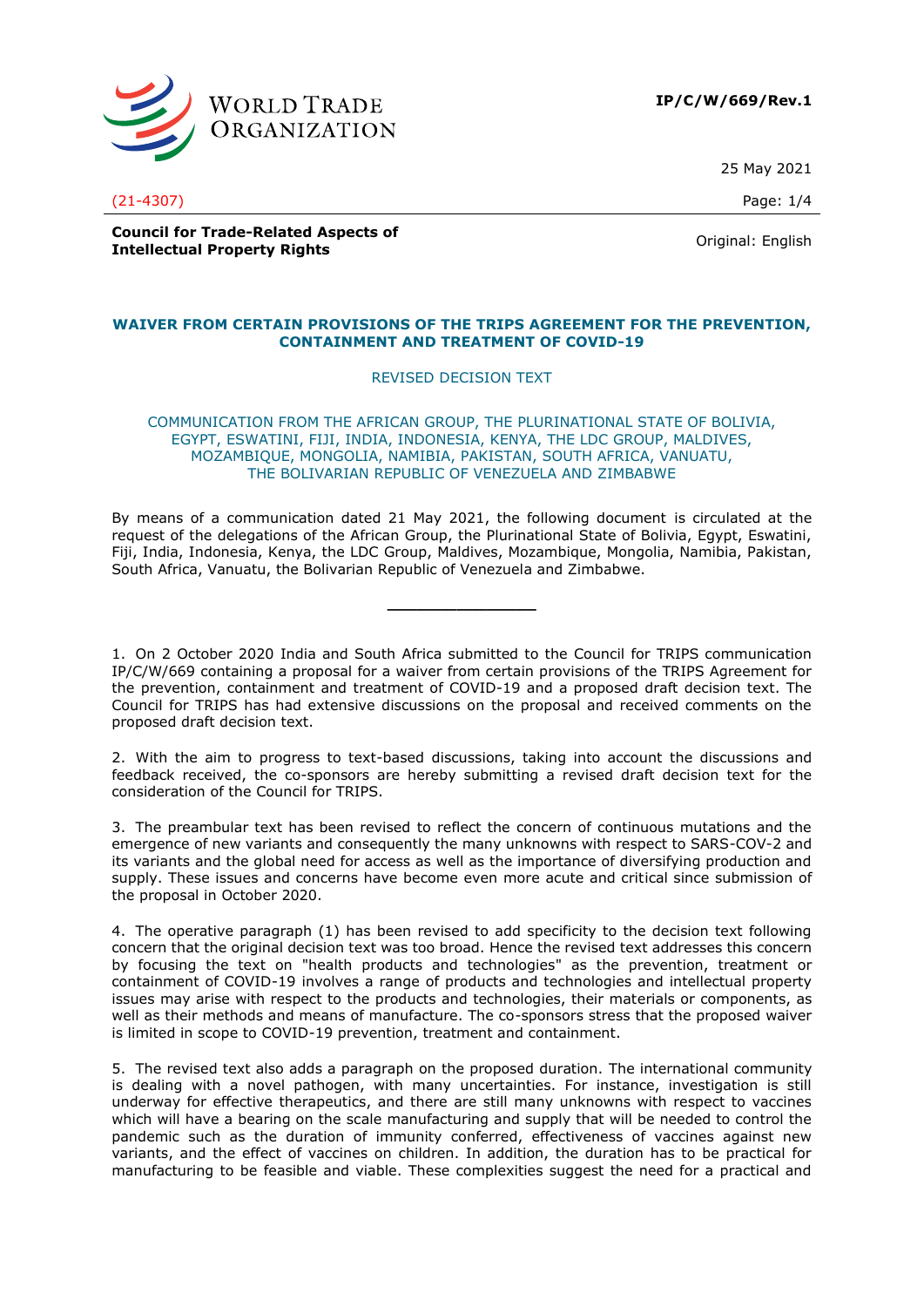

**IP/C/W/669/Rev.1**

25 May 2021

(21-4307) Page: 1/4

**Council for Trade-Related Aspects of Intellectual Property Rights** Original: English<br> **Intellectual Property Rights** 

## **WAIVER FROM CERTAIN PROVISIONS OF THE TRIPS AGREEMENT FOR THE PREVENTION, CONTAINMENT AND TREATMENT OF COVID-19**

# REVISED DECISION TEXT

COMMUNICATION FROM THE AFRICAN GROUP, THE PLURINATIONAL STATE OF BOLIVIA, EGYPT, ESWATINI, FIJI, INDIA, INDONESIA, KENYA, THE LDC GROUP, MALDIVES, MOZAMBIQUE, MONGOLIA, NAMIBIA, PAKISTAN, SOUTH AFRICA, VANUATU, THE BOLIVARIAN REPUBLIC OF VENEZUELA AND ZIMBABWE

By means of a communication dated 21 May 2021, the following document is circulated at the request of the delegations of the African Group, the Plurinational State of Bolivia, Egypt, Eswatini, Fiji, India, Indonesia, Kenya, the LDC Group, Maldives, Mozambique, Mongolia, Namibia, Pakistan, South Africa, Vanuatu, the Bolivarian Republic of Venezuela and Zimbabwe.

**\_\_\_\_\_\_\_\_\_\_\_\_\_\_\_**

1. On 2 October 2020 India and South Africa submitted to the Council for TRIPS communication IP/C/W/669 containing a proposal for a waiver from certain provisions of the TRIPS Agreement for the prevention, containment and treatment of COVID-19 and a proposed draft decision text. The Council for TRIPS has had extensive discussions on the proposal and received comments on the proposed draft decision text.

2. With the aim to progress to text-based discussions, taking into account the discussions and feedback received, the co-sponsors are hereby submitting a revised draft decision text for the consideration of the Council for TRIPS.

3. The preambular text has been revised to reflect the concern of continuous mutations and the emergence of new variants and consequently the many unknowns with respect to SARS-COV-2 and its variants and the global need for access as well as the importance of diversifying production and supply. These issues and concerns have become even more acute and critical since submission of the proposal in October 2020.

4. The operative paragraph (1) has been revised to add specificity to the decision text following concern that the original decision text was too broad. Hence the revised text addresses this concern by focusing the text on "health products and technologies" as the prevention, treatment or containment of COVID-19 involves a range of products and technologies and intellectual property issues may arise with respect to the products and technologies, their materials or components, as well as their methods and means of manufacture. The co-sponsors stress that the proposed waiver is limited in scope to COVID-19 prevention, treatment and containment.

5. The revised text also adds a paragraph on the proposed duration. The international community is dealing with a novel pathogen, with many uncertainties. For instance, investigation is still underway for effective therapeutics, and there are still many unknowns with respect to vaccines which will have a bearing on the scale manufacturing and supply that will be needed to control the pandemic such as the duration of immunity conferred, effectiveness of vaccines against new variants, and the effect of vaccines on children. In addition, the duration has to be practical for manufacturing to be feasible and viable. These complexities suggest the need for a practical and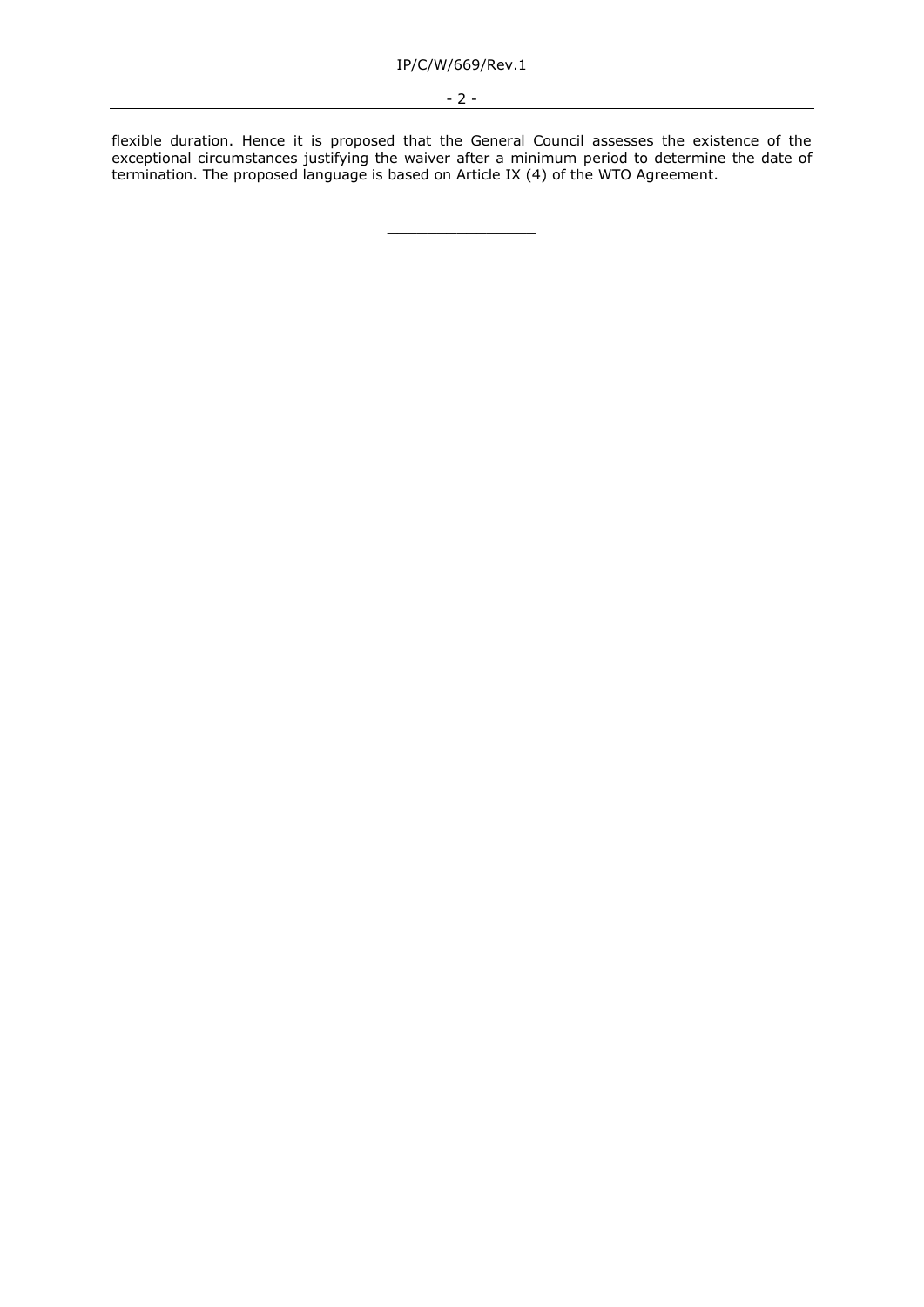flexible duration. Hence it is proposed that the General Council assesses the existence of the exceptional circumstances justifying the waiver after a minimum period to determine the date of termination. The proposed language is based on Article IX (4) of the WTO Agreement.

**\_\_\_\_\_\_\_\_\_\_\_\_\_\_\_**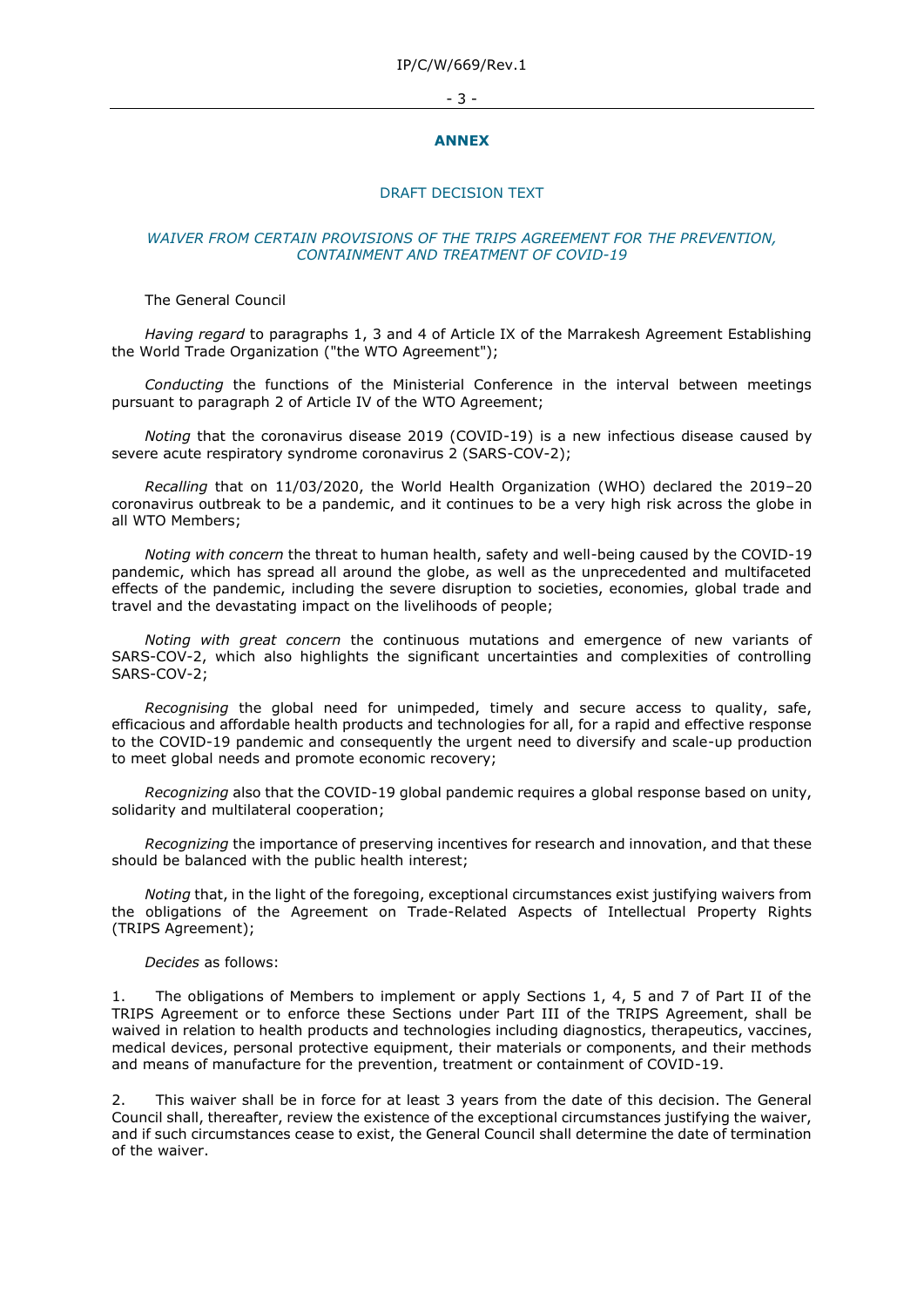#### - 3 -

#### **ANNEX**

## DRAFT DECISION TEXT

## *WAIVER FROM CERTAIN PROVISIONS OF THE TRIPS AGREEMENT FOR THE PREVENTION, CONTAINMENT AND TREATMENT OF COVID-19*

### The General Council

*Having regard* to paragraphs 1, 3 and 4 of Article IX of the Marrakesh Agreement Establishing the World Trade Organization ("the WTO Agreement");

*Conducting* the functions of the Ministerial Conference in the interval between meetings pursuant to paragraph 2 of Article IV of the WTO Agreement;

*Noting* that the coronavirus disease 2019 (COVID-19) is a new infectious disease caused by severe acute respiratory syndrome coronavirus 2 (SARS-COV-2);

*Recalling* that on 11/03/2020, the World Health Organization (WHO) declared the 2019–20 coronavirus outbreak to be a pandemic, and it continues to be a very high risk across the globe in all WTO Members;

*Noting with concern* the threat to human health, safety and well-being caused by the COVID-19 pandemic, which has spread all around the globe, as well as the unprecedented and multifaceted effects of the pandemic, including the severe disruption to societies, economies, global trade and travel and the devastating impact on the livelihoods of people;

*Noting with great concern* the continuous mutations and emergence of new variants of SARS-COV-2, which also highlights the significant uncertainties and complexities of controlling SARS-COV-2;

*Recognising* the global need for unimpeded, timely and secure access to quality, safe, efficacious and affordable health products and technologies for all, for a rapid and effective response to the COVID-19 pandemic and consequently the urgent need to diversify and scale-up production to meet global needs and promote economic recovery;

*Recognizing* also that the COVID-19 global pandemic requires a global response based on unity, solidarity and multilateral cooperation;

*Recognizing* the importance of preserving incentives for research and innovation, and that these should be balanced with the public health interest;

*Noting* that, in the light of the foregoing, exceptional circumstances exist justifying waivers from the obligations of the Agreement on Trade-Related Aspects of Intellectual Property Rights (TRIPS Agreement);

#### *Decides* as follows:

1. The obligations of Members to implement or apply Sections 1, 4, 5 and 7 of Part II of the TRIPS Agreement or to enforce these Sections under Part III of the TRIPS Agreement, shall be waived in relation to health products and technologies including diagnostics, therapeutics, vaccines, medical devices, personal protective equipment, their materials or components, and their methods and means of manufacture for the prevention, treatment or containment of COVID-19.

2. This waiver shall be in force for at least 3 years from the date of this decision. The General Council shall, thereafter, review the existence of the exceptional circumstances justifying the waiver, and if such circumstances cease to exist, the General Council shall determine the date of termination of the waiver.